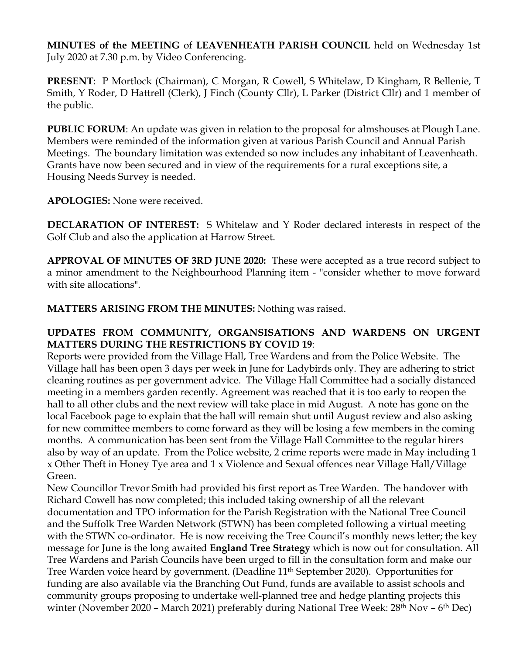**MINUTES of the MEETING** of **LEAVENHEATH PARISH COUNCIL** held on Wednesday 1st July 2020 at 7.30 p.m. by Video Conferencing.

**PRESENT**: P Mortlock (Chairman), C Morgan, R Cowell, S Whitelaw, D Kingham, R Bellenie, T Smith, Y Roder, D Hattrell (Clerk), J Finch (County Cllr), L Parker (District Cllr) and 1 member of the public.

**PUBLIC FORUM**: An update was given in relation to the proposal for almshouses at Plough Lane. Members were reminded of the information given at various Parish Council and Annual Parish Meetings. The boundary limitation was extended so now includes any inhabitant of Leavenheath. Grants have now been secured and in view of the requirements for a rural exceptions site, a Housing Needs Survey is needed.

**APOLOGIES:** None were received.

**DECLARATION OF INTEREST:** S Whitelaw and Y Roder declared interests in respect of the Golf Club and also the application at Harrow Street.

**APPROVAL OF MINUTES OF 3RD JUNE 2020:** These were accepted as a true record subject to a minor amendment to the Neighbourhood Planning item - "consider whether to move forward with site allocations".

**MATTERS ARISING FROM THE MINUTES:** Nothing was raised.

## **UPDATES FROM COMMUNITY, ORGANSISATIONS AND WARDENS ON URGENT MATTERS DURING THE RESTRICTIONS BY COVID 19**:

Reports were provided from the Village Hall, Tree Wardens and from the Police Website. The Village hall has been open 3 days per week in June for Ladybirds only. They are adhering to strict cleaning routines as per government advice. The Village Hall Committee had a socially distanced meeting in a members garden recently. Agreement was reached that it is too early to reopen the hall to all other clubs and the next review will take place in mid August. A note has gone on the local Facebook page to explain that the hall will remain shut until August review and also asking for new committee members to come forward as they will be losing a few members in the coming months. A communication has been sent from the Village Hall Committee to the regular hirers also by way of an update. From the Police website, 2 crime reports were made in May including 1 x Other Theft in Honey Tye area and 1 x Violence and Sexual offences near Village Hall/Village Green.

New Councillor Trevor Smith had provided his first report as Tree Warden. The handover with Richard Cowell has now completed; this included taking ownership of all the relevant documentation and TPO information for the Parish Registration with the National Tree Council and the Suffolk Tree Warden Network (STWN) has been completed following a virtual meeting with the STWN co-ordinator. He is now receiving the Tree Council's monthly news letter; the key message for June is the long awaited **England Tree Strategy** which is now out for consultation. All Tree Wardens and Parish Councils have been urged to fill in the consultation form and make our Tree Warden voice heard by government. (Deadline 11th September 2020). Opportunities for funding are also available via the Branching Out Fund, funds are available to assist schools and community groups proposing to undertake well-planned tree and hedge planting projects this winter (November 2020 – March 2021) preferably during National Tree Week: 28<sup>th</sup> Nov – 6<sup>th</sup> Dec)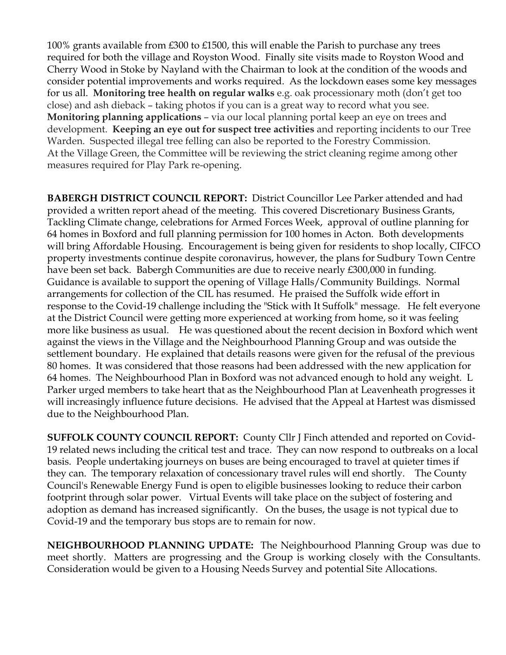100% grants available from £300 to £1500, this will enable the Parish to purchase any trees required for both the village and Royston Wood. Finally site visits made to Royston Wood and Cherry Wood in Stoke by Nayland with the Chairman to look at the condition of the woods and consider potential improvements and works required. As the lockdown eases some key messages for us all. **Monitoring tree health on regular walks** e.g. oak processionary moth (don't get too close) and ash dieback – taking photos if you can is a great way to record what you see. **Monitoring planning applications** – via our local planning portal keep an eye on trees and development. **Keeping an eye out for suspect tree activities** and reporting incidents to our Tree Warden. Suspected illegal tree felling can also be reported to the Forestry Commission. At the Village Green, the Committee will be reviewing the strict cleaning regime among other measures required for Play Park re-opening.

**BABERGH DISTRICT COUNCIL REPORT:** District Councillor Lee Parker attended and had provided a written report ahead of the meeting. This covered Discretionary Business Grants, Tackling Climate change, celebrations for Armed Forces Week, approval of outline planning for 64 homes in Boxford and full planning permission for 100 homes in Acton. Both developments will bring Affordable Housing. Encouragement is being given for residents to shop locally, CIFCO property investments continue despite coronavirus, however, the plans for Sudbury Town Centre have been set back. Babergh Communities are due to receive nearly £300,000 in funding. Guidance is available to support the opening of Village Halls/Community Buildings. Normal arrangements for collection of the CIL has resumed. He praised the Suffolk wide effort in response to the Covid-19 challenge including the "Stick with It Suffolk" message. He felt everyone at the District Council were getting more experienced at working from home, so it was feeling more like business as usual. He was questioned about the recent decision in Boxford which went against the views in the Village and the Neighbourhood Planning Group and was outside the settlement boundary. He explained that details reasons were given for the refusal of the previous 80 homes. It was considered that those reasons had been addressed with the new application for 64 homes. The Neighbourhood Plan in Boxford was not advanced enough to hold any weight. L Parker urged members to take heart that as the Neighbourhood Plan at Leavenheath progresses it will increasingly influence future decisions. He advised that the Appeal at Hartest was dismissed due to the Neighbourhood Plan.

**SUFFOLK COUNTY COUNCIL REPORT:** County Cllr J Finch attended and reported on Covid-19 related news including the critical test and trace. They can now respond to outbreaks on a local basis. People undertaking journeys on buses are being encouraged to travel at quieter times if they can. The temporary relaxation of concessionary travel rules will end shortly. The County Council's Renewable Energy Fund is open to eligible businesses looking to reduce their carbon footprint through solar power. Virtual Events will take place on the subject of fostering and adoption as demand has increased significantly. On the buses, the usage is not typical due to Covid-19 and the temporary bus stops are to remain for now.

**NEIGHBOURHOOD PLANNING UPDATE:** The Neighbourhood Planning Group was due to meet shortly. Matters are progressing and the Group is working closely with the Consultants. Consideration would be given to a Housing Needs Survey and potential Site Allocations.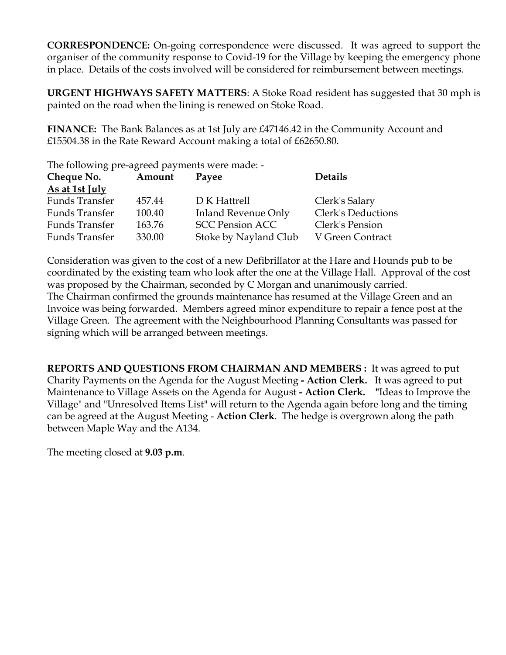**CORRESPONDENCE:** On-going correspondence were discussed. It was agreed to support the organiser of the community response to Covid-19 for the Village by keeping the emergency phone in place. Details of the costs involved will be considered for reimbursement between meetings.

**URGENT HIGHWAYS SAFETY MATTERS**: A Stoke Road resident has suggested that 30 mph is painted on the road when the lining is renewed on Stoke Road.

**FINANCE:** The Bank Balances as at 1st July are £47146.42 in the Community Account and £15504.38 in the Rate Reward Account making a total of £62650.80.

The following pre-agreed payments were made: -

| Cheque No.            | Amount | Payee                  | <b>Details</b>     |
|-----------------------|--------|------------------------|--------------------|
| As at 1st July        |        |                        |                    |
| <b>Funds Transfer</b> | 457.44 | D K Hattrell           | Clerk's Salary     |
| Funds Transfer        | 100.40 | Inland Revenue Only    | Clerk's Deductions |
| Funds Transfer        | 163.76 | <b>SCC Pension ACC</b> | Clerk's Pension    |
| Funds Transfer        | 330.00 | Stoke by Nayland Club  | V Green Contract   |

Consideration was given to the cost of a new Defibrillator at the Hare and Hounds pub to be coordinated by the existing team who look after the one at the Village Hall. Approval of the cost was proposed by the Chairman, seconded by C Morgan and unanimously carried. The Chairman confirmed the grounds maintenance has resumed at the Village Green and an Invoice was being forwarded. Members agreed minor expenditure to repair a fence post at the Village Green. The agreement with the Neighbourhood Planning Consultants was passed for signing which will be arranged between meetings.

**REPORTS AND QUESTIONS FROM CHAIRMAN AND MEMBERS :** It was agreed to put Charity Payments on the Agenda for the August Meeting **- Action Clerk.** It was agreed to put Maintenance to Village Assets on the Agenda for August **- Action Clerk. "**Ideas to Improve the Village" and "Unresolved Items List" will return to the Agenda again before long and the timing can be agreed at the August Meeting - **Action Clerk**. The hedge is overgrown along the path between Maple Way and the A134.

The meeting closed at **9.03 p.m**.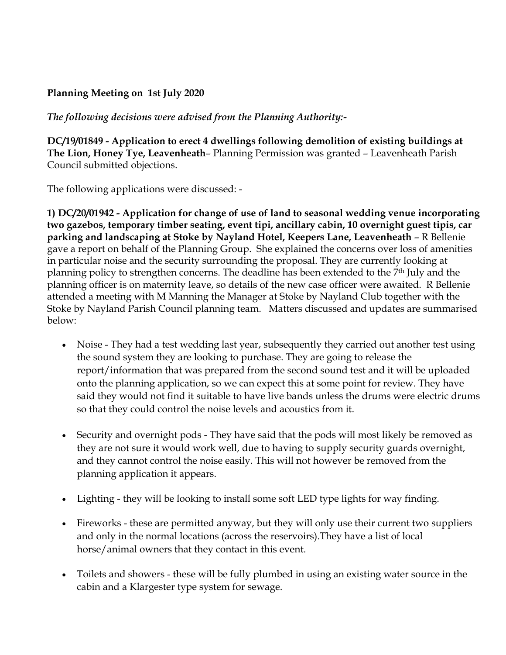## **Planning Meeting on 1st July 2020**

*The following decisions were advised from the Planning Authority:-*

**DC/19/01849 - Application to erect 4 dwellings following demolition of existing buildings at The Lion, Honey Tye, Leavenheath**– Planning Permission was granted – Leavenheath Parish Council submitted objections.

The following applications were discussed: -

**1) DC/20/01942 - Application for change of use of land to seasonal wedding venue incorporating two gazebos, temporary timber seating, event tipi, ancillary cabin, 10 overnight guest tipis, car parking and landscaping at Stoke by Nayland Hotel, Keepers Lane, Leavenheath** – R Bellenie gave a report on behalf of the Planning Group. She explained the concerns over loss of amenities in particular noise and the security surrounding the proposal. They are currently looking at planning policy to strengthen concerns. The deadline has been extended to the 7<sup>th</sup> July and the planning officer is on maternity leave, so details of the new case officer were awaited. R Bellenie attended a meeting with M Manning the Manager at Stoke by Nayland Club together with the Stoke by Nayland Parish Council planning team. Matters discussed and updates are summarised below:

- Noise They had a test wedding last year, subsequently they carried out another test using the sound system they are looking to purchase. They are going to release the report/information that was prepared from the second sound test and it will be uploaded onto the planning application, so we can expect this at some point for review. They have said they would not find it suitable to have live bands unless the drums were electric drums so that they could control the noise levels and acoustics from it.
- Security and overnight pods They have said that the pods will most likely be removed as they are not sure it would work well, due to having to supply security guards overnight, and they cannot control the noise easily. This will not however be removed from the planning application it appears.
- Lighting they will be looking to install some soft LED type lights for way finding.
- Fireworks these are permitted anyway, but they will only use their current two suppliers and only in the normal locations (across the reservoirs).They have a list of local horse/animal owners that they contact in this event.
- Toilets and showers these will be fully plumbed in using an existing water source in the cabin and a Klargester type system for sewage.